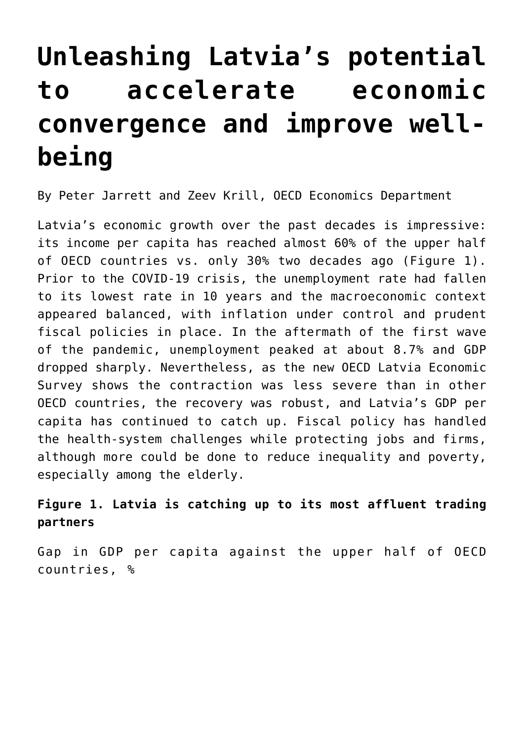## **[Unleashing Latvia's potential](https://oecdecoscope.blog/2022/03/09/unleashing-latvias-potential-to-accelerate-economic-convergence-and-improve-well-being/) [to accelerate economic](https://oecdecoscope.blog/2022/03/09/unleashing-latvias-potential-to-accelerate-economic-convergence-and-improve-well-being/) [convergence and improve well](https://oecdecoscope.blog/2022/03/09/unleashing-latvias-potential-to-accelerate-economic-convergence-and-improve-well-being/)[being](https://oecdecoscope.blog/2022/03/09/unleashing-latvias-potential-to-accelerate-economic-convergence-and-improve-well-being/)**

By Peter Jarrett and Zeev Krill, OECD Economics Department

Latvia's economic growth over the past decades is impressive: its income per capita has reached almost 60% of the upper half of OECD countries vs. only 30% two decades ago (Figure 1). Prior to the COVID-19 crisis, the unemployment rate had fallen to its lowest rate in 10 years and the macroeconomic context appeared balanced, with inflation under control and prudent fiscal policies in place. In the aftermath of the first wave of the pandemic, unemployment peaked at about 8.7% and GDP dropped sharply. Nevertheless, as the new [OECD Latvia Economic](https://www.oecd.org/economy/latvia-economic-snapshot/) [Survey](https://www.oecd.org/economy/latvia-economic-snapshot/) shows the contraction was less severe than in other OECD countries, the recovery was robust, and Latvia's GDP per capita has continued to catch up. Fiscal policy has handled the health-system challenges while protecting jobs and firms, although more could be done to reduce inequality and poverty, especially among the elderly.

## **Figure 1. Latvia is catching up to its most affluent trading partners**

Gap in GDP per capita against the upper half of OECD countries, %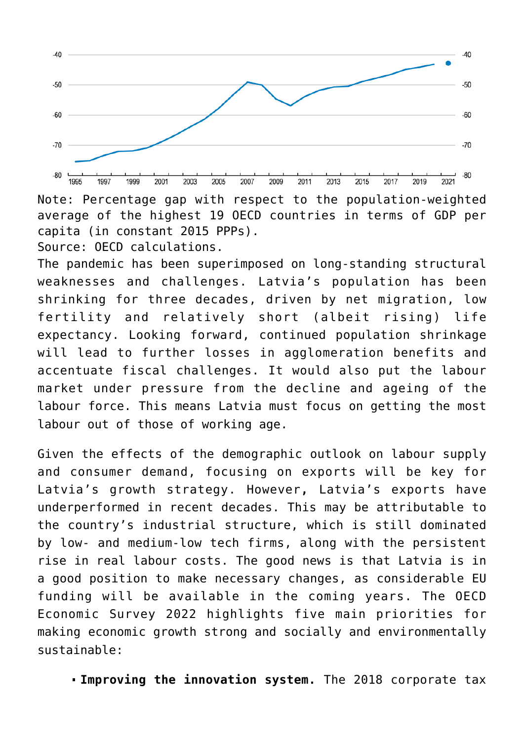

Note: Percentage gap with respect to the population-weighted average of the highest 19 OECD countries in terms of GDP per capita (in constant 2015 PPPs). Source: OECD calculations.

The pandemic has been superimposed on long-standing structural weaknesses and challenges. Latvia's population has been shrinking for three decades, driven by net migration, low fertility and relatively short (albeit rising) life expectancy. Looking forward, continued population shrinkage will lead to further losses in agglomeration benefits and accentuate fiscal challenges. It would also put the labour market under pressure from the decline and ageing of the labour force. This means Latvia must focus on getting the most labour out of those of working age.

Given the effects of the demographic outlook on labour supply and consumer demand, focusing on exports will be key for Latvia's growth strategy. However**,** Latvia's exports have underperformed in recent decades. This may be attributable to the country's industrial structure, which is still dominated by low- and medium-low tech firms, along with the persistent rise in real labour costs. The good news is that Latvia is in a good position to make necessary changes, as considerable EU funding will be available in the coming years. The OECD Economic Survey 2022 highlights five main priorities for making economic growth strong and socially and environmentally sustainable:

**Improving the innovation system.** The 2018 corporate tax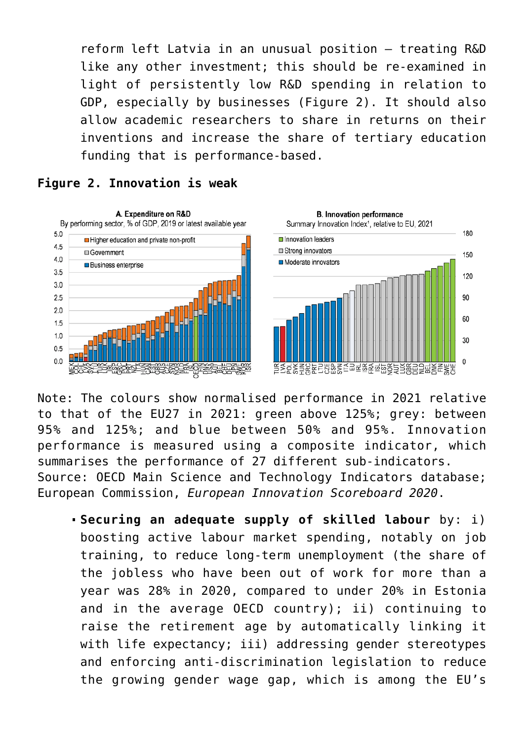reform left Latvia in an unusual position – treating R&D like any other investment; this should be re-examined in light of persistently low R&D spending in relation to GDP, especially by businesses (Figure 2). It should also allow academic researchers to share in returns on their inventions and increase the share of tertiary education funding that is performance-based.

## **Figure 2. Innovation is weak**



Note: The colours show normalised performance in 2021 relative to that of the EU27 in 2021: green above 125%; grey: between 95% and 125%; and blue between 50% and 95%. Innovation performance is measured using a composite indicator, which summarises the performance of 27 different sub-indicators. Source: OECD Main Science and Technology Indicators database; European Commission, *European Innovation Scoreboard 2020*.

**Securing an adequate supply of skilled labour** by: i) boosting active labour market spending, notably on job training, to reduce long-term unemployment (the share of the jobless who have been out of work for more than a year was 28% in 2020, compared to under 20% in Estonia and in the average OECD country); ii) continuing to raise the retirement age by automatically linking it with life expectancy; iii) addressing gender stereotypes and enforcing anti-discrimination legislation to reduce the growing gender wage gap, which is among the EU's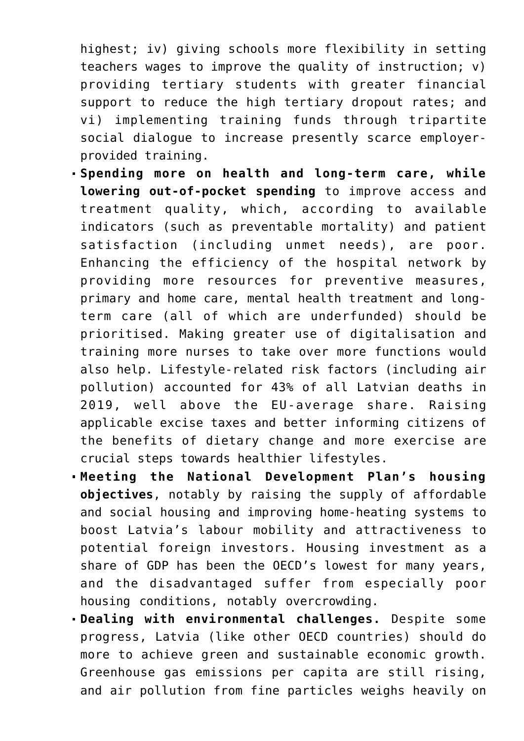highest; iv) giving schools more flexibility in setting teachers wages to improve the quality of instruction; v) providing tertiary students with greater financial support to reduce the high tertiary dropout rates; and vi) implementing training funds through tripartite social dialogue to increase presently scarce employerprovided training.

- **Spending more on health and long-term care, while lowering out-of-pocket spending** to improve access and treatment quality, which, according to available indicators (such as preventable mortality) and patient satisfaction (including unmet needs), are poor. Enhancing the efficiency of the hospital network by providing more resources for preventive measures, primary and home care, mental health treatment and longterm care (all of which are underfunded) should be prioritised. Making greater use of digitalisation and training more nurses to take over more functions would also help. Lifestyle-related risk factors (including air pollution) accounted for 43% of all Latvian deaths in 2019, well above the EU-average share. Raising applicable excise taxes and better informing citizens of the benefits of dietary change and more exercise are crucial steps towards healthier lifestyles.
- **Meeting the National Development Plan's housing objectives**, notably by raising the supply of affordable and social housing and improving home-heating systems to boost Latvia's labour mobility and attractiveness to potential foreign investors. Housing investment as a share of GDP has been the OECD's lowest for many years, and the disadvantaged suffer from especially poor housing conditions, notably overcrowding.
- **Dealing with environmental challenges.** Despite some progress, Latvia (like other OECD countries) should do more to achieve green and sustainable economic growth. Greenhouse gas emissions per capita are still rising, and air pollution from fine particles weighs heavily on